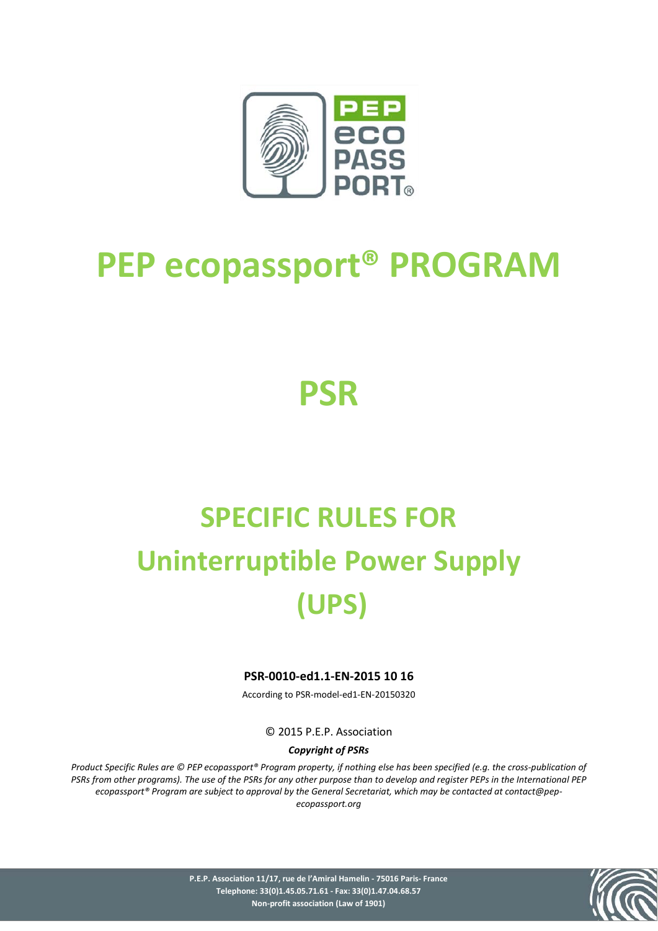

# **PEP ecopassport® PROGRAM**

**PSR**

# **SPECIFIC RULES FOR Uninterruptible Power Supply (UPS)**

#### **PSR-0010-ed1.1-EN-2015 10 16**

According to PSR-model-ed1-EN-20150320

© 2015 P.E.P. Association

*Copyright of PSRs*

*Product Specific Rules are © PEP ecopassport® Program property, if nothing else has been specified (e.g. the cross-publication of PSRs from other programs). The use of the PSRs for any other purpose than to develop and register PEPs in the International PEP ecopassport® Program are subject to approval by the General Secretariat, which may be contacted at contact@pepecopassport.org* 

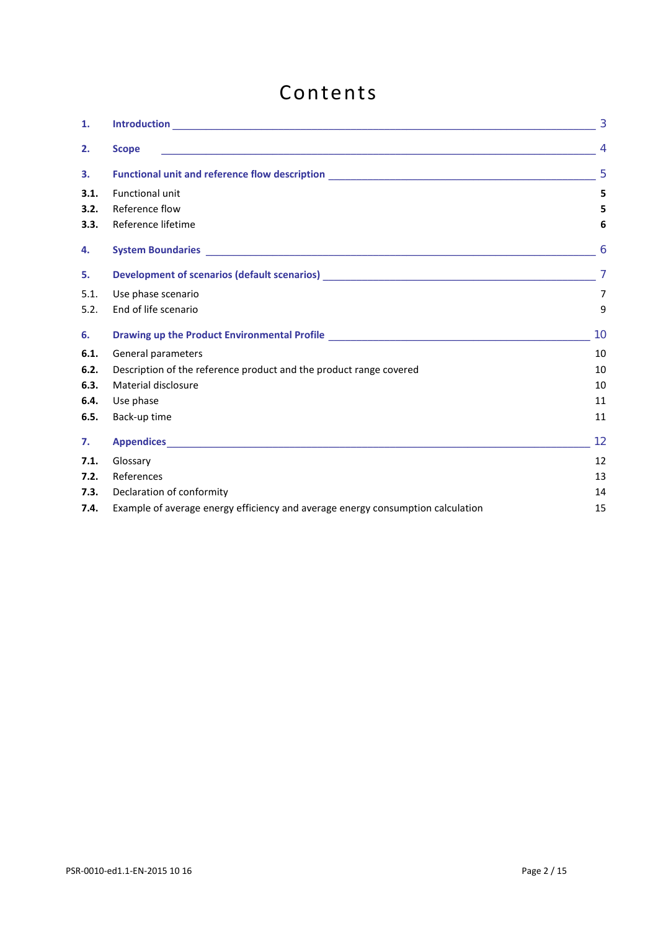# Contents

| 1.   |                                                                                  |                |
|------|----------------------------------------------------------------------------------|----------------|
| 2.   | <b>Scope</b>                                                                     | $\overline{4}$ |
| 3.   |                                                                                  | 5              |
| 3.1. | <b>Functional unit</b>                                                           | 5              |
| 3.2. | Reference flow                                                                   | 5              |
| 3.3. | Reference lifetime                                                               | 6              |
| 4.   |                                                                                  |                |
| 5.   |                                                                                  |                |
| 5.1. | Use phase scenario                                                               | $\overline{7}$ |
| 5.2. | End of life scenario                                                             | 9              |
| 6.   | Drawing up the Product Environmental Profile ___________________________________ | 10             |
| 6.1. | General parameters                                                               | 10             |
| 6.2. | Description of the reference product and the product range covered               | 10             |
| 6.3. | Material disclosure                                                              | 10             |
| 6.4. | Use phase                                                                        | 11             |
| 6.5. | Back-up time                                                                     | 11             |
| 7.   |                                                                                  | 12             |
| 7.1. | Glossary                                                                         | 12             |
| 7.2. | References                                                                       | 13             |
| 7.3. | Declaration of conformity                                                        | 14             |
| 7.4. | Example of average energy efficiency and average energy consumption calculation  | 15             |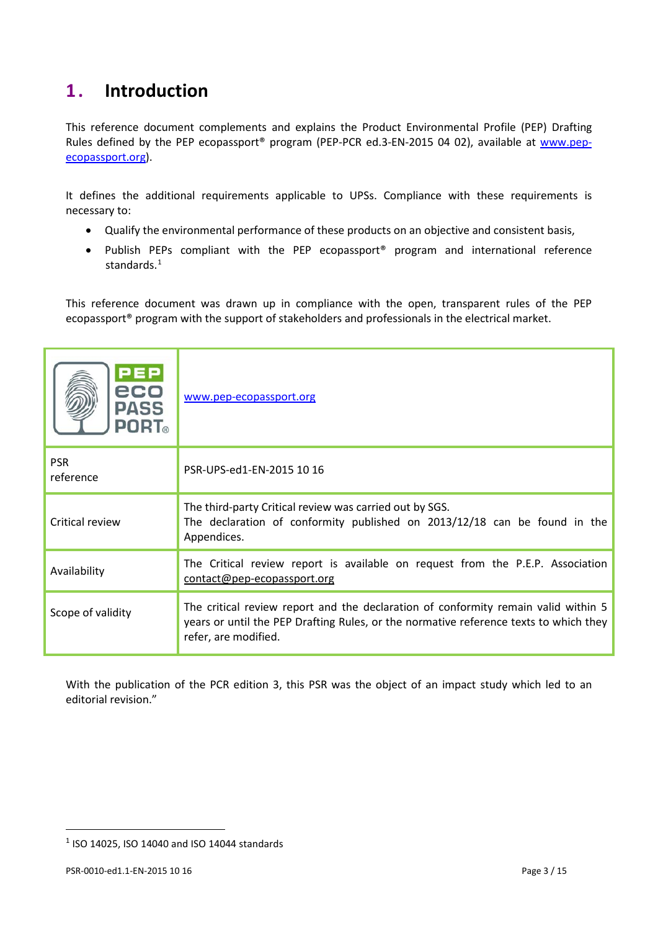# <span id="page-2-0"></span>**1 . Introduction**

This reference document complements and explains the Product Environmental Profile (PEP) Drafting Rules defined by the PEP ecopassport<sup>®</sup> program (PEP-PCR ed.3-EN-2015 04 02), available at [www.pep](http://www.pep-ecopassport.org/)[ecopassport.org\)](http://www.pep-ecopassport.org/).

It defines the additional requirements applicable to UPSs. Compliance with these requirements is necessary to:

- Qualify the environmental performance of these products on an objective and consistent basis,
- Publish PEPs compliant with the PEP ecopassport® program and international reference standards.<sup>[1](#page-2-1)</sup>

This reference document was drawn up in compliance with the open, transparent rules of the PEP ecopassport® program with the support of stakeholders and professionals in the electrical market.

| <b>PEP</b><br>eco<br><b>PASS</b><br><b>PORT</b> ® | www.pep-ecopassport.org                                                                                                                                                                             |
|---------------------------------------------------|-----------------------------------------------------------------------------------------------------------------------------------------------------------------------------------------------------|
| <b>PSR</b><br>reference                           | PSR-UPS-ed1-EN-2015 10 16                                                                                                                                                                           |
| Critical review                                   | The third-party Critical review was carried out by SGS.<br>The declaration of conformity published on 2013/12/18 can be found in the<br>Appendices.                                                 |
| Availability                                      | The Critical review report is available on request from the P.E.P. Association<br>contact@pep-ecopassport.org                                                                                       |
| Scope of validity                                 | The critical review report and the declaration of conformity remain valid within 5<br>years or until the PEP Drafting Rules, or the normative reference texts to which they<br>refer, are modified. |

With the publication of the PCR edition 3, this PSR was the object of an impact study which led to an editorial revision."

 $\overline{a}$ 

<span id="page-2-1"></span> $1$  ISO 14025, ISO 14040 and ISO 14044 standards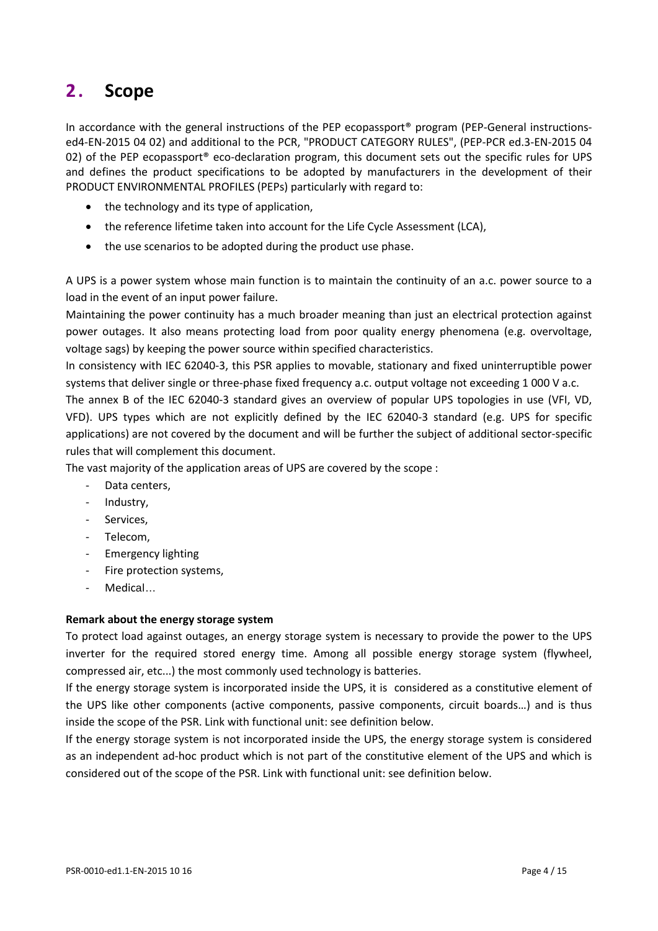# <span id="page-3-0"></span>**2 . Scope**

In accordance with the general instructions of the PEP ecopassport<sup>®</sup> program (PEP-General instructionsed4-EN-2015 04 02) and additional to the PCR, "PRODUCT CATEGORY RULES", (PEP-PCR ed.3-EN-2015 04 02) of the PEP ecopassport<sup>®</sup> eco-declaration program, this document sets out the specific rules for UPS and defines the product specifications to be adopted by manufacturers in the development of their PRODUCT ENVIRONMENTAL PROFILES (PEPs) particularly with regard to:

- the technology and its type of application,
- the reference lifetime taken into account for the Life Cycle Assessment (LCA),
- the use scenarios to be adopted during the product use phase.

A UPS is a power system whose main function is to maintain the continuity of an a.c. power source to a load in the event of an input power failure.

Maintaining the power continuity has a much broader meaning than just an electrical protection against power outages. It also means protecting load from poor quality energy phenomena (e.g. overvoltage, voltage sags) by keeping the power source within specified characteristics.

In consistency with IEC 62040-3, this PSR applies to movable, stationary and fixed uninterruptible power systems that deliver single or three-phase fixed frequency a.c. output voltage not exceeding 1 000 V a.c.

The annex B of the IEC 62040-3 standard gives an overview of popular UPS topologies in use (VFI, VD, VFD). UPS types which are not explicitly defined by the IEC 62040-3 standard (e.g. UPS for specific applications) are not covered by the document and will be further the subject of additional sector-specific rules that will complement this document.

The vast majority of the application areas of UPS are covered by the scope :

- Data centers,
- Industry,
- Services.
- Telecom,
- Emergency lighting
- Fire protection systems,
- Medical...

#### **Remark about the energy storage system**

To protect load against outages, an energy storage system is necessary to provide the power to the UPS inverter for the required stored energy time. Among all possible energy storage system (flywheel, compressed air, etc...) the most commonly used technology is batteries.

If the energy storage system is incorporated inside the UPS, it is considered as a constitutive element of the UPS like other components (active components, passive components, circuit boards…) and is thus inside the scope of the PSR. Link with functional unit: see definition below.

If the energy storage system is not incorporated inside the UPS, the energy storage system is considered as an independent ad-hoc product which is not part of the constitutive element of the UPS and which is considered out of the scope of the PSR. Link with functional unit: see definition below.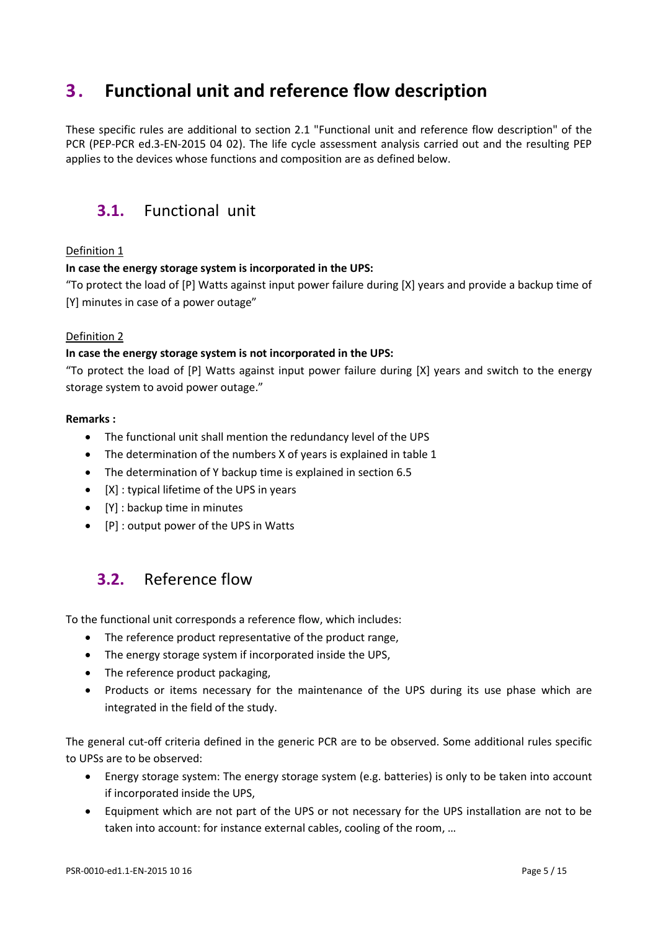# <span id="page-4-0"></span>**3 . Functional unit and reference flow description**

These specific rules are additional to section 2.1 "Functional unit and reference flow description" of the PCR (PEP-PCR ed.3-EN-2015 04 02). The life cycle assessment analysis carried out and the resulting PEP applies to the devices whose functions and composition are as defined below.

### <span id="page-4-1"></span>**3.1.** Functional unit

#### Definition 1

#### **In case the energy storage system is incorporated in the UPS:**

"To protect the load of [P] Watts against input power failure during [X] years and provide a backup time of [Y] minutes in case of a power outage"

#### Definition 2

#### **In case the energy storage system is not incorporated in the UPS:**

"To protect the load of [P] Watts against input power failure during [X] years and switch to the energy storage system to avoid power outage."

#### **Remarks :**

- The functional unit shall mention the redundancy level of the UPS
- The determination of the numbers X of years is explained in table 1
- The determination of Y backup time is explained in section 6.5
- [X] : typical lifetime of the UPS in years
- [Y] : backup time in minutes
- <span id="page-4-2"></span>• [P] : output power of the UPS in Watts

### **3.2.** Reference flow

To the functional unit corresponds a reference flow, which includes:

- The reference product representative of the product range,
- The energy storage system if incorporated inside the UPS,
- The reference product packaging,
- Products or items necessary for the maintenance of the UPS during its use phase which are integrated in the field of the study.

The general cut-off criteria defined in the generic PCR are to be observed. Some additional rules specific to UPSs are to be observed:

- Energy storage system: The energy storage system (e.g. batteries) is only to be taken into account if incorporated inside the UPS,
- Equipment which are not part of the UPS or not necessary for the UPS installation are not to be taken into account: for instance external cables, cooling of the room, …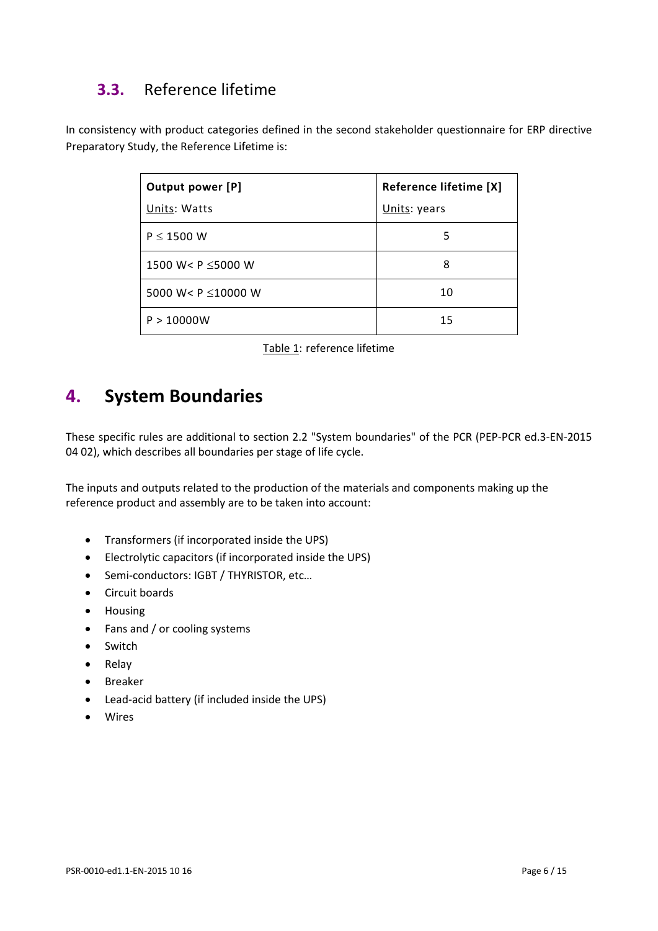# <span id="page-5-0"></span>**3.3.** Reference lifetime

In consistency with product categories defined in the second stakeholder questionnaire for ERP directive Preparatory Study, the Reference Lifetime is:

| Output power [P]         | Reference lifetime [X] |
|--------------------------|------------------------|
| Units: Watts             | Units: years           |
| $P \leq 1500$ W          | 5                      |
| 1500 W< P $\leq$ 5000 W  | 8                      |
| 5000 W< P $\leq$ 10000 W | 10                     |
| P > 10000W               | 15                     |

Table 1: reference lifetime

# <span id="page-5-1"></span>**4. System Boundaries**

These specific rules are additional to section 2.2 "System boundaries" of the PCR (PEP-PCR ed.3-EN-2015 04 02), which describes all boundaries per stage of life cycle.

The inputs and outputs related to the production of the materials and components making up the reference product and assembly are to be taken into account:

- Transformers (if incorporated inside the UPS)
- Electrolytic capacitors (if incorporated inside the UPS)
- Semi-conductors: IGBT / THYRISTOR, etc…
- Circuit boards
- Housing
- Fans and / or cooling systems
- **Switch**
- Relay
- Breaker
- Lead-acid battery (if included inside the UPS)
- **Wires**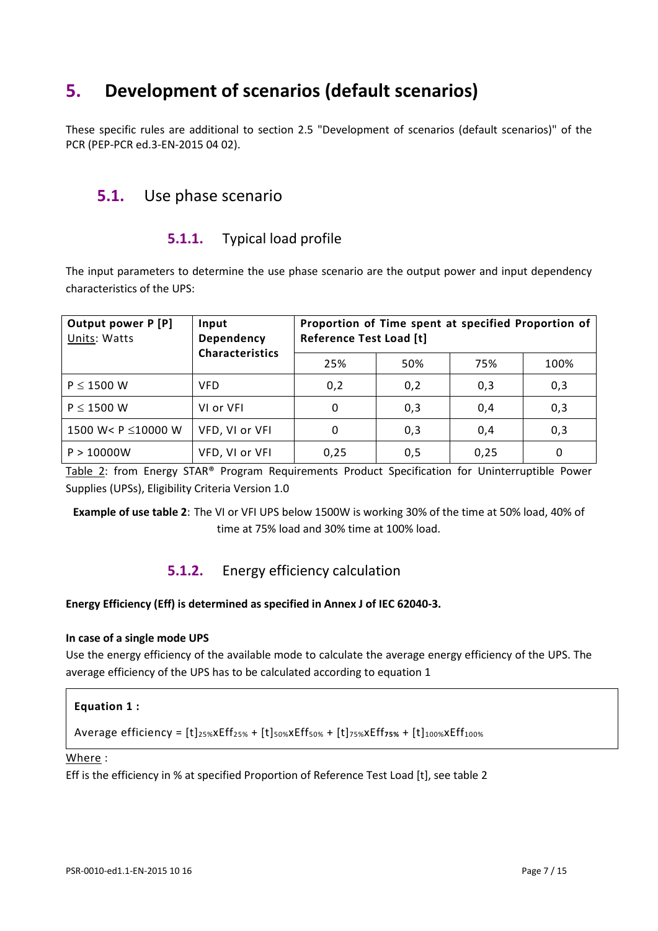# <span id="page-6-0"></span>**5. Development of scenarios (default scenarios)**

<span id="page-6-1"></span>These specific rules are additional to section 2.5 "Development of scenarios (default scenarios)" of the PCR (PEP-PCR ed.3-EN-2015 04 02).

### **5.1.** Use phase scenario

### **5.1.1.** Typical load profile

The input parameters to determine the use phase scenario are the output power and input dependency characteristics of the UPS:

| <b>Output power P [P]</b><br>Units: Watts | Input<br>Dependency<br><b>Characteristics</b> | Proportion of Time spent at specified Proportion of<br><b>Reference Test Load [t]</b> |     |      |      |
|-------------------------------------------|-----------------------------------------------|---------------------------------------------------------------------------------------|-----|------|------|
|                                           |                                               | 25%                                                                                   | 50% | 75%  | 100% |
| $P \leq 1500$ W                           | <b>VFD</b>                                    | 0,2                                                                                   | 0,2 | 0,3  | 0,3  |
| $P \leq 1500$ W                           | VI or VFI                                     | 0                                                                                     | 0,3 | 0,4  | 0,3  |
| 1500 W< P $\leq$ 10000 W                  | VFD, VI or VFI                                | 0                                                                                     | 0,3 | 0,4  | 0,3  |
| P > 10000W                                | VFD, VI or VFI                                | 0,25                                                                                  | 0,5 | 0,25 | 0    |

Table 2: from Energy STAR® Program Requirements Product Specification for Uninterruptible Power Supplies (UPSs), Eligibility Criteria Version 1.0

**Example of use table 2**: The VI or VFI UPS below 1500W is working 30% of the time at 50% load, 40% of time at 75% load and 30% time at 100% load.

### **5.1.2.** Energy efficiency calculation

#### **Energy Efficiency (Eff) is determined as specified in Annex J of IEC 62040-3.**

#### **In case of a single mode UPS**

Use the energy efficiency of the available mode to calculate the average energy efficiency of the UPS. The average efficiency of the UPS has to be calculated according to equation 1

#### **Equation 1 :**

```
Average efficiency = [t]_{25\%}xEff<sub>25%</sub> + [t]_{50\%}xEff<sub>50%</sub> + [t]_{75\%}xEff<sub>75%</sub> + [t]_{100\%}xEff<sub>100%</sub>
```
Where :

Eff is the efficiency in % at specified Proportion of Reference Test Load [t], see table 2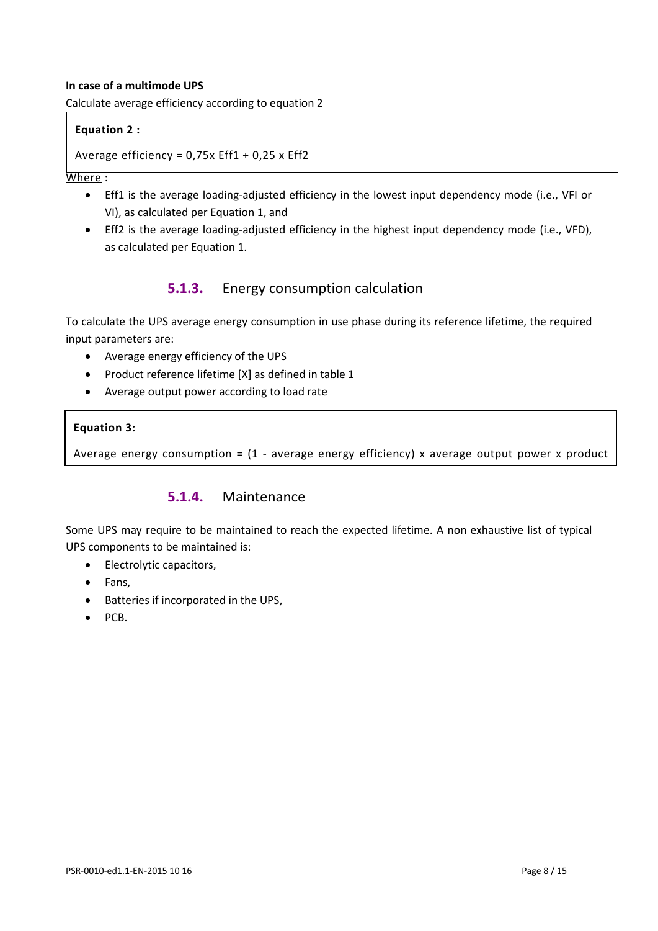#### **In case of a multimode UPS**

Calculate average efficiency according to equation 2

#### **Equation 2 :**

```
Average efficiency = 0,75x Eff1 + 0,25x Eff2
```
#### Where :

- Eff1 is the average loading-adjusted efficiency in the lowest input dependency mode (i.e., VFI or VI), as calculated per Equation 1, and
- Eff2 is the average loading-adjusted efficiency in the highest input dependency mode (i.e., VFD), as calculated per Equation 1.

### **5.1.3.** Energy consumption calculation

To calculate the UPS average energy consumption in use phase during its reference lifetime, the required input parameters are:

- Average energy efficiency of the UPS
- Product reference lifetime [X] as defined in table 1
- Average output power according to load rate

#### **Equation 3:**

Average energy consumption =  $(1 - \text{average energy efficiency})$  x average output power x product

#### **5.1.4.** Maintenance

Some UPS may require to be maintained to reach the expected lifetime. A non exhaustive list of typical UPS components to be maintained is:

- Electrolytic capacitors,
- Fans,
- Batteries if incorporated in the UPS,
- PCB.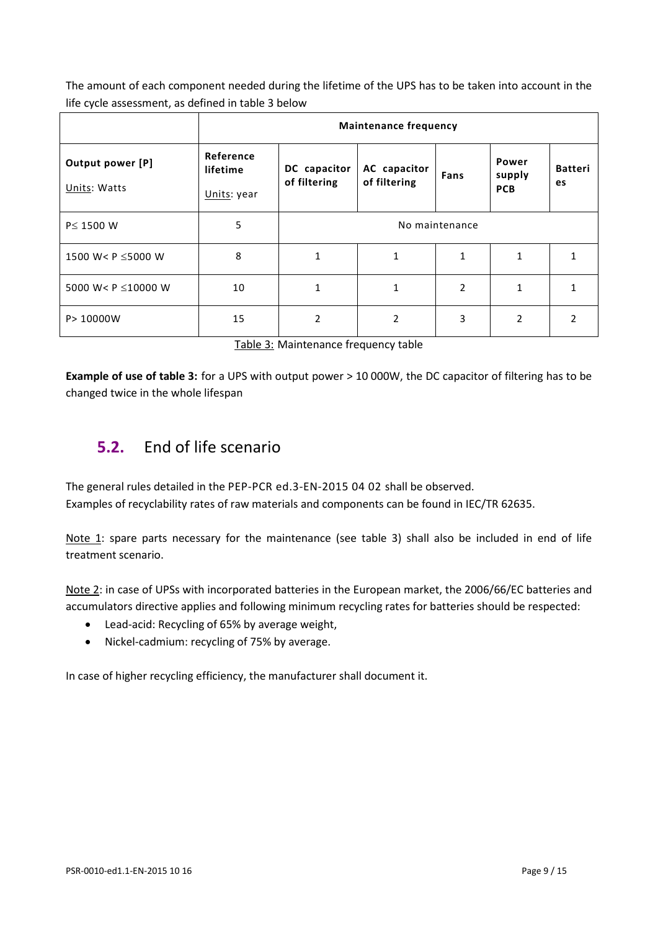The amount of each component needed during the lifetime of the UPS has to be taken into account in the life cycle assessment, as defined in table 3 below

|                                  |                                      |                              | <b>Maintenance frequency</b> |                |                               |                      |
|----------------------------------|--------------------------------------|------------------------------|------------------------------|----------------|-------------------------------|----------------------|
| Output power [P]<br>Units: Watts | Reference<br>lifetime<br>Units: year | DC capacitor<br>of filtering | AC capacitor<br>of filtering | Fans           | Power<br>supply<br><b>PCB</b> | <b>Batteri</b><br>es |
| P≤ 1500 W                        | 5                                    |                              |                              | No maintenance |                               |                      |
| 1500 W< P $\leq$ 5000 W          | 8                                    | 1                            | 1                            | 1              | 1                             |                      |
| 5000 W< P $\leq$ 10000 W         | 10                                   | $\mathbf{1}$                 | $\mathbf{1}$                 | 2              | $\mathbf{1}$                  | 1                    |
| P> 10000W                        | 15                                   | 2                            | $\overline{2}$               | 3              | $\overline{2}$                | $\overline{2}$       |

| Table 3: Maintenance frequency table |
|--------------------------------------|
|--------------------------------------|

<span id="page-8-0"></span>**Example of use of table 3:** for a UPS with output power > 10 000W, the DC capacitor of filtering has to be changed twice in the whole lifespan

# **5.2.** End of life scenario

The general rules detailed in the PEP-PCR ed.3-EN-2015 04 02 shall be observed. Examples of recyclability rates of raw materials and components can be found in IEC/TR 62635.

Note 1: spare parts necessary for the maintenance (see table 3) shall also be included in end of life treatment scenario.

Note 2: in case of UPSs with incorporated batteries in the European market, the 2006/66/EC batteries and accumulators directive applies and following minimum recycling rates for batteries should be respected:

- Lead-acid: Recycling of 65% by average weight,
- Nickel-cadmium: recycling of 75% by average.

In case of higher recycling efficiency, the manufacturer shall document it.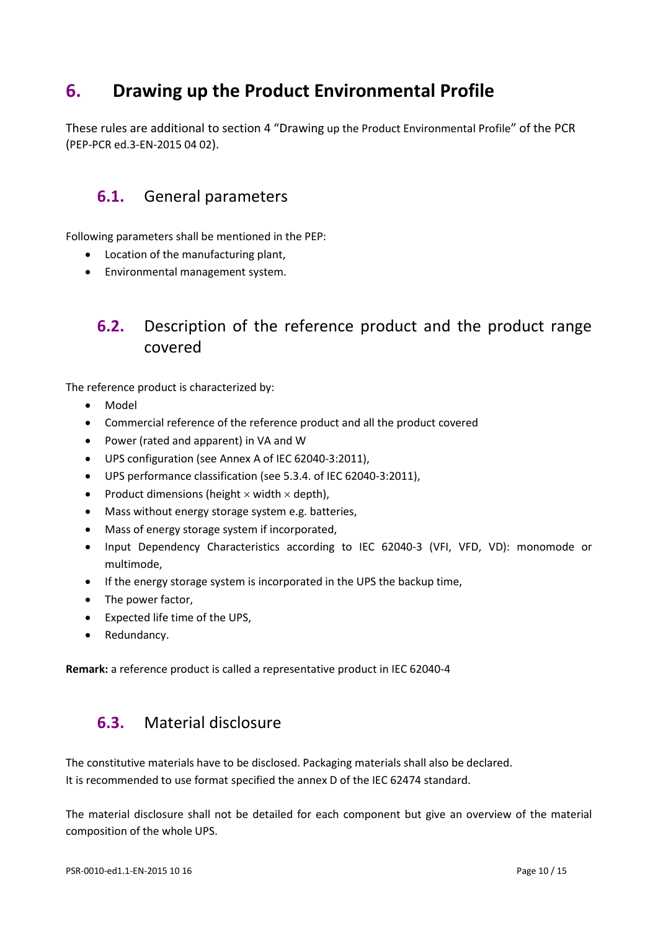# <span id="page-9-0"></span>**6. Drawing up the Product Environmental Profile**

<span id="page-9-1"></span>These rules are additional to section 4 "Drawing up the Product Environmental Profile" of the PCR (PEP-PCR ed.3-EN-2015 04 02).

### **6.1.** General parameters

Following parameters shall be mentioned in the PEP:

- Location of the manufacturing plant,
- <span id="page-9-2"></span>• Environmental management system.

# **6.2.** Description of the reference product and the product range covered

The reference product is characterized by:

- Model
- Commercial reference of the reference product and all the product covered
- Power (rated and apparent) in VA and W
- UPS configuration (see Annex A of IEC 62040-3:2011),
- UPS performance classification (see 5.3.4. of IEC 62040-3:2011),
- Product dimensions (height  $\times$  width  $\times$  depth),
- Mass without energy storage system e.g. batteries,
- Mass of energy storage system if incorporated,
- Input Dependency Characteristics according to IEC 62040-3 (VFI, VFD, VD): monomode or multimode,
- If the energy storage system is incorporated in the UPS the backup time,
- The power factor,
- Expected life time of the UPS,
- Redundancy.

<span id="page-9-3"></span>**Remark:** a reference product is called a representative product in IEC 62040-4

### **6.3.** Material disclosure

The constitutive materials have to be disclosed. Packaging materials shall also be declared. It is recommended to use format specified the annex D of the IEC 62474 standard.

The material disclosure shall not be detailed for each component but give an overview of the material composition of the whole UPS.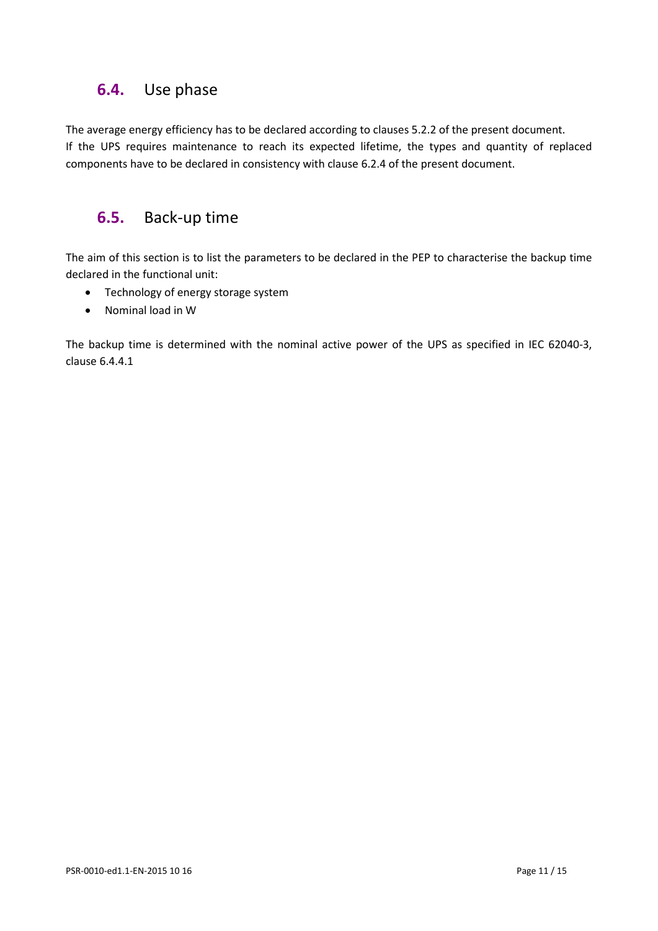### <span id="page-10-0"></span>**6.4.** Use phase

The average energy efficiency has to be declared according to clauses 5.2.2 of the present document. If the UPS requires maintenance to reach its expected lifetime, the types and quantity of replaced components have to be declared in consistency with clause 6.2.4 of the present document.

### <span id="page-10-1"></span>**6.5.** Back-up time

The aim of this section is to list the parameters to be declared in the PEP to characterise the backup time declared in the functional unit:

- Technology of energy storage system
- Nominal load in W

The backup time is determined with the nominal active power of the UPS as specified in IEC 62040-3, clause 6.4.4.1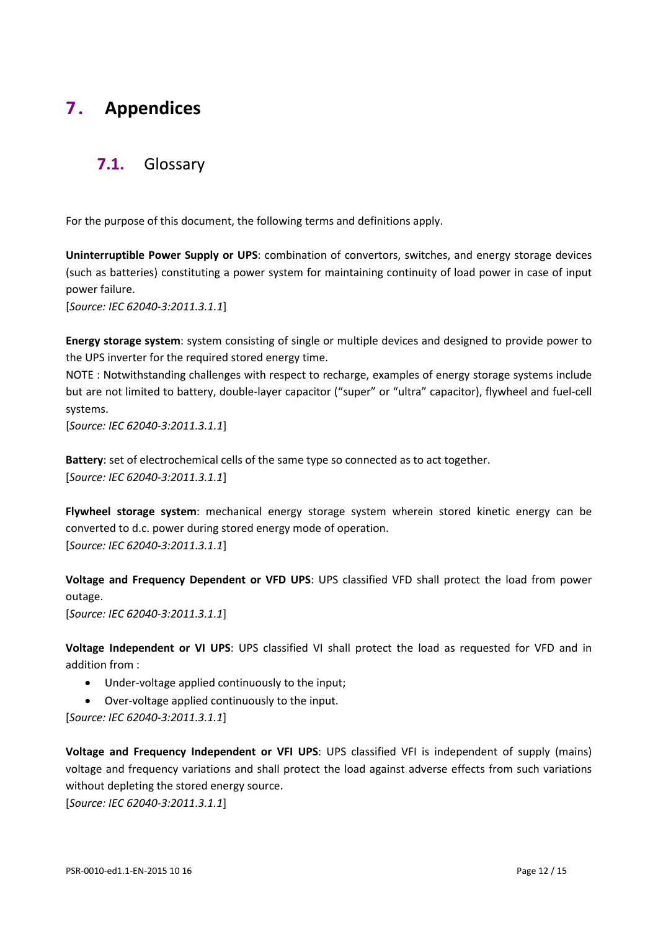# <span id="page-11-1"></span><span id="page-11-0"></span>**7 . Appendices**

### **7.1.** Glossary

For the purpose of this document, the following terms and definitions apply.

**Uninterruptible Power Supply or UPS**: combination of convertors, switches, and energy storage devices (such as batteries) constituting a power system for maintaining continuity of load power in case of input power failure.

[*Source: IEC 62040-3:2011.3.1.1*]

**Energy storage system**: system consisting of single or multiple devices and designed to provide power to the UPS inverter for the required stored energy time.

NOTE : Notwithstanding challenges with respect to recharge, examples of energy storage systems include but are not limited to battery, double-layer capacitor ("super" or "ultra" capacitor), flywheel and fuel-cell systems.

[*Source: IEC 62040-3:2011.3.1.1*]

**Battery**: set of electrochemical cells of the same type so connected as to act together. [*Source: IEC 62040-3:2011.3.1.1*]

**Flywheel storage system**: mechanical energy storage system wherein stored kinetic energy can be converted to d.c. power during stored energy mode of operation. [*Source: IEC 62040-3:2011.3.1.1*]

**Voltage and Frequency Dependent or VFD UPS**: UPS classified VFD shall protect the load from power outage.

[*Source: IEC 62040-3:2011.3.1.1*]

**Voltage Independent or VI UPS**: UPS classified VI shall protect the load as requested for VFD and in addition from :

- Under-voltage applied continuously to the input;
- Over-voltage applied continuously to the input.

[*Source: IEC 62040-3:2011.3.1.1*]

**Voltage and Frequency Independent or VFI UPS**: UPS classified VFI is independent of supply (mains) voltage and frequency variations and shall protect the load against adverse effects from such variations without depleting the stored energy source.

[*Source: IEC 62040-3:2011.3.1.1*]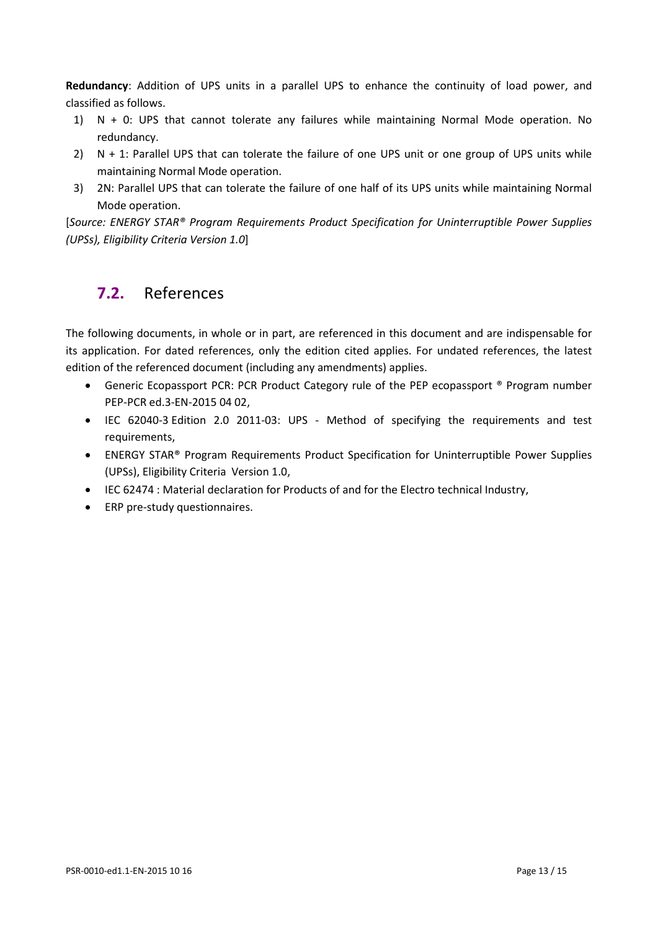**Redundancy**: Addition of UPS units in a parallel UPS to enhance the continuity of load power, and classified as follows.

- 1) N + 0: UPS that cannot tolerate any failures while maintaining Normal Mode operation. No redundancy.
- 2)  $N + 1$ : Parallel UPS that can tolerate the failure of one UPS unit or one group of UPS units while maintaining Normal Mode operation.
- 3) 2N: Parallel UPS that can tolerate the failure of one half of its UPS units while maintaining Normal Mode operation.

[*Source: ENERGY STAR® Program Requirements Product Specification for Uninterruptible Power Supplies (UPSs), Eligibility Criteria Version 1.0*]

## <span id="page-12-0"></span>**7.2.** References

The following documents, in whole or in part, are referenced in this document and are indispensable for its application. For dated references, only the edition cited applies. For undated references, the latest edition of the referenced document (including any amendments) applies.

- Generic Ecopassport PCR: PCR Product Category rule of the PEP ecopassport ® Program number PEP-PCR ed.3-EN-2015 04 02,
- IEC 62040-3 Edition 2.0 2011-03: UPS Method of specifying the requirements and test requirements,
- ENERGY STAR® Program Requirements Product Specification for Uninterruptible Power Supplies (UPSs), Eligibility Criteria Version 1.0,
- IEC 62474 : Material declaration for Products of and for the Electro technical Industry,
- ERP pre-study questionnaires.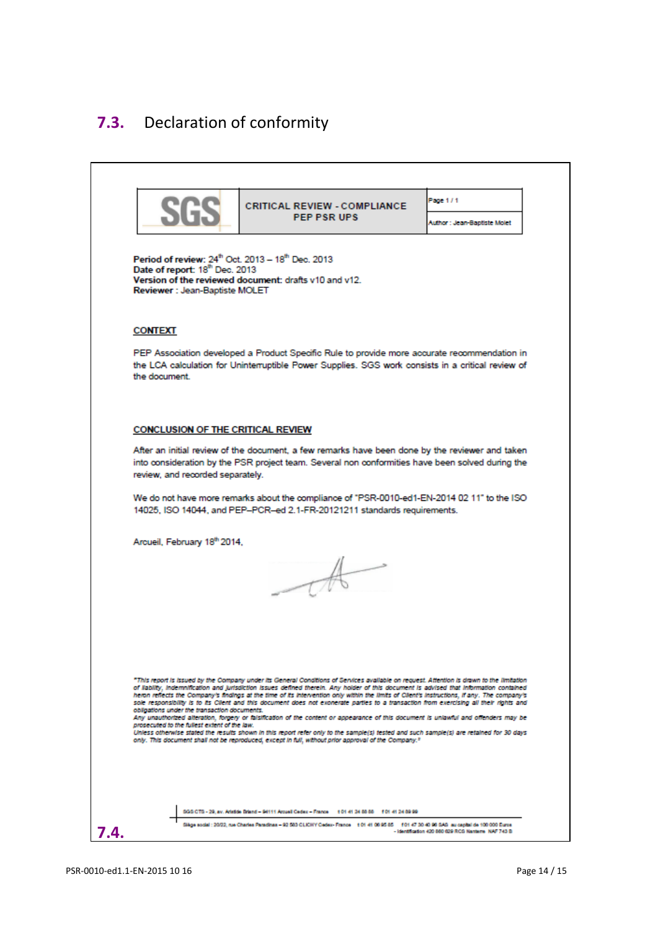## <span id="page-13-0"></span>**7.3.** Declaration of conformity